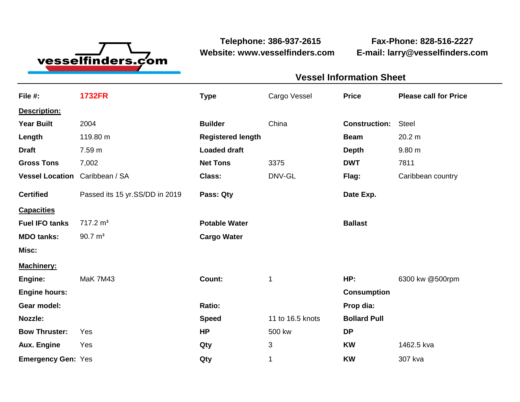

**Website: www.vesselfinders.com E-mail: larry@vesselfinders.com**

**Telephone: 386-937-2615 Fax-Phone: 828-516-2227**

**Vessel Information Sheet**

| <b>Vessel Information Sheet</b>      |                                            |  |
|--------------------------------------|--------------------------------------------|--|
|                                      | Cargo Vessel Price Please call for Price   |  |
|                                      |                                            |  |
| <b>Builder</b> China                 | <b>Construction: Steel</b>                 |  |
|                                      | <b>Beam</b> 20.2 m                         |  |
|                                      | Depth 9.80 m                               |  |
| Net Tons 3375<br>DNV-GL              | <b>DWT</b> 7811<br>Flag: Caribbean country |  |
| Date Exp.                            |                                            |  |
|                                      |                                            |  |
| <b>Ballast</b>                       |                                            |  |
|                                      |                                            |  |
|                                      |                                            |  |
|                                      |                                            |  |
|                                      | HP: 6300 kw @500rpm                        |  |
| <b>Consumption</b><br>Prop dia:      |                                            |  |
| 11 to 16.5 knots <b>Bollard Pull</b> |                                            |  |
| 500 kw                               |                                            |  |
|                                      | <b>KW</b> 1462.5 kva                       |  |
|                                      | Qty 1 KW 307 kva                           |  |